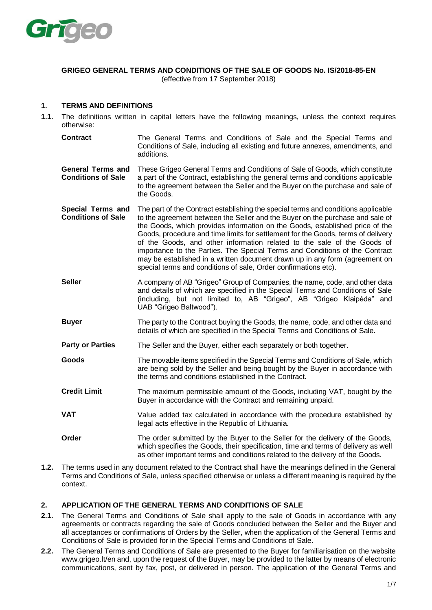

#### **GRIGEO GENERAL TERMS AND CONDITIONS OF THE SALE OF GOODS No. IS/2018-85-EN** (effective from 17 September 2018)

#### **1. TERMS AND DEFINITIONS**

- **1.1.** The definitions written in capital letters have the following meanings, unless the context requires otherwise:
	- **Contract** The General Terms and Conditions of Sale and the Special Terms and Conditions of Sale, including all existing and future annexes, amendments, and additions.
	- **General Terms and Conditions of Sale**  These Grigeo General Terms and Conditions of Sale of Goods, which constitute a part of the Contract, establishing the general terms and conditions applicable to the agreement between the Seller and the Buyer on the purchase and sale of the Goods.
	- **Special Terms and Conditions of Sale** The part of the Contract establishing the special terms and conditions applicable to the agreement between the Seller and the Buyer on the purchase and sale of the Goods, which provides information on the Goods, established price of the Goods, procedure and time limits for settlement for the Goods, terms of delivery of the Goods, and other information related to the sale of the Goods of importance to the Parties. The Special Terms and Conditions of the Contract may be established in a written document drawn up in any form (agreement on special terms and conditions of sale, Order confirmations etc).
	- **Seller** A company of AB "Grigeo" Group of Companies, the name, code, and other data and details of which are specified in the Special Terms and Conditions of Sale (including, but not limited to, AB "Grigeo", AB "Grigeo Klaipėda" and UAB "Grigeo Baltwood").
	- **Buyer** The party to the Contract buying the Goods, the name, code, and other data and details of which are specified in the Special Terms and Conditions of Sale.
	- **Party or Parties** The Seller and the Buyer, either each separately or both together.
	- **Goods** The movable items specified in the Special Terms and Conditions of Sale, which are being sold by the Seller and being bought by the Buyer in accordance with the terms and conditions established in the Contract.
	- **Credit Limit** The maximum permissible amount of the Goods, including VAT, bought by the Buyer in accordance with the Contract and remaining unpaid.
	- **VAT** Value added tax calculated in accordance with the procedure established by legal acts effective in the Republic of Lithuania.
	- **Order** The order submitted by the Buyer to the Seller for the delivery of the Goods, which specifies the Goods, their specification, time and terms of delivery as well as other important terms and conditions related to the delivery of the Goods.
- **1.2.** The terms used in any document related to the Contract shall have the meanings defined in the General Terms and Conditions of Sale, unless specified otherwise or unless a different meaning is required by the context.

### **2. APPLICATION OF THE GENERAL TERMS AND CONDITIONS OF SALE**

- **2.1.** The General Terms and Conditions of Sale shall apply to the sale of Goods in accordance with any agreements or contracts regarding the sale of Goods concluded between the Seller and the Buyer and all acceptances or confirmations of Orders by the Seller, when the application of the General Terms and Conditions of Sale is provided for in the Special Terms and Conditions of Sale.
- **2.2.** The General Terms and Conditions of Sale are presented to the Buyer for familiarisation on the website www.grigeo.lt/en and, upon the request of the Buyer, may be provided to the latter by means of electronic communications, sent by fax, post, or delivered in person. The application of the General Terms and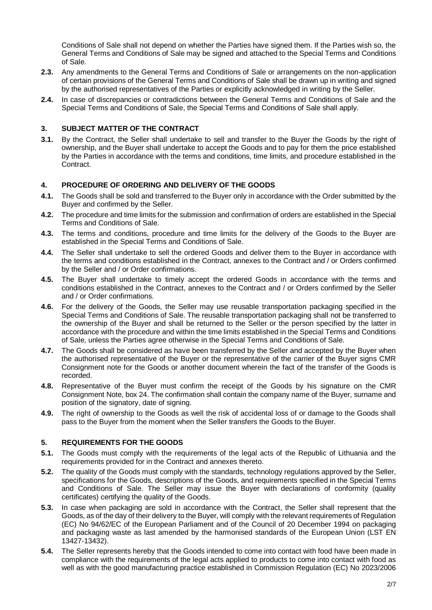Conditions of Sale shall not depend on whether the Parties have signed them. If the Parties wish so, the General Terms and Conditions of Sale may be signed and attached to the Special Terms and Conditions of Sale.

- **2.3.** Any amendments to the General Terms and Conditions of Sale or arrangements on the non-application of certain provisions of the General Terms and Conditions of Sale shall be drawn up in writing and signed by the authorised representatives of the Parties or explicitly acknowledged in writing by the Seller.
- **2.4.** In case of discrepancies or contradictions between the General Terms and Conditions of Sale and the Special Terms and Conditions of Sale, the Special Terms and Conditions of Sale shall apply.

## **3. SUBJECT MATTER OF THE CONTRACT**

**3.1.** By the Contract, the Seller shall undertake to sell and transfer to the Buyer the Goods by the right of ownership, and the Buyer shall undertake to accept the Goods and to pay for them the price established by the Parties in accordance with the terms and conditions, time limits, and procedure established in the Contract.

## **4. PROCEDURE OF ORDERING AND DELIVERY OF THE GOODS**

- **4.1.** The Goods shall be sold and transferred to the Buyer only in accordance with the Order submitted by the Buyer and confirmed by the Seller.
- **4.2.** The procedure and time limits for the submission and confirmation of orders are established in the Special Terms and Conditions of Sale.
- **4.3.** The terms and conditions, procedure and time limits for the delivery of the Goods to the Buyer are established in the Special Terms and Conditions of Sale.
- **4.4.** The Seller shall undertake to sell the ordered Goods and deliver them to the Buyer in accordance with the terms and conditions established in the Contract, annexes to the Contract and / or Orders confirmed by the Seller and / or Order confirmations.
- **4.5.** The Buyer shall undertake to timely accept the ordered Goods in accordance with the terms and conditions established in the Contract, annexes to the Contract and / or Orders confirmed by the Seller and / or Order confirmations.
- **4.6.** For the delivery of the Goods, the Seller may use reusable transportation packaging specified in the Special Terms and Conditions of Sale. The reusable transportation packaging shall not be transferred to the ownership of the Buyer and shall be returned to the Seller or the person specified by the latter in accordance with the procedure and within the time limits established in the Special Terms and Conditions of Sale, unless the Parties agree otherwise in the Special Terms and Conditions of Sale.
- **4.7.** The Goods shall be considered as have been transferred by the Seller and accepted by the Buyer when the authorised representative of the Buyer or the representative of the carrier of the Buyer signs CMR Consignment note for the Goods or another document wherein the fact of the transfer of the Goods is recorded.
- **4.8.** Representative of the Buyer must confirm the receipt of the Goods by his signature on the CMR Consignment Note, box 24. The confirmation shall contain the company name of the Buyer, surname and position of the signatory, date of signing.
- **4.9.** The right of ownership to the Goods as well the risk of accidental loss of or damage to the Goods shall pass to the Buyer from the moment when the Seller transfers the Goods to the Buyer.

### **5. REQUIREMENTS FOR THE GOODS**

- **5.1.** The Goods must comply with the requirements of the legal acts of the Republic of Lithuania and the requirements provided for in the Contract and annexes thereto.
- **5.2.** The quality of the Goods must comply with the standards, technology regulations approved by the Seller, specifications for the Goods, descriptions of the Goods, and requirements specified in the Special Terms and Conditions of Sale. The Seller may issue the Buyer with declarations of conformity (quality certificates) certifying the quality of the Goods.
- **5.3.** In case when packaging are sold in accordance with the Contract, the Seller shall represent that the Goods, as of the day of their delivery to the Buyer, will comply with the relevant requirements of Regulation (EC) No 94/62/EC of the European Parliament and of the Council of 20 December 1994 on packaging and packaging waste as last amended by the harmonised standards of the European Union (LST EN 13427-13432).
- **5.4.** The Seller represents hereby that the Goods intended to come into contact with food have been made in compliance with the requirements of the legal acts applied to products to come into contact with food as well as with the good manufacturing practice established in Commission Regulation (EC) No 2023/2006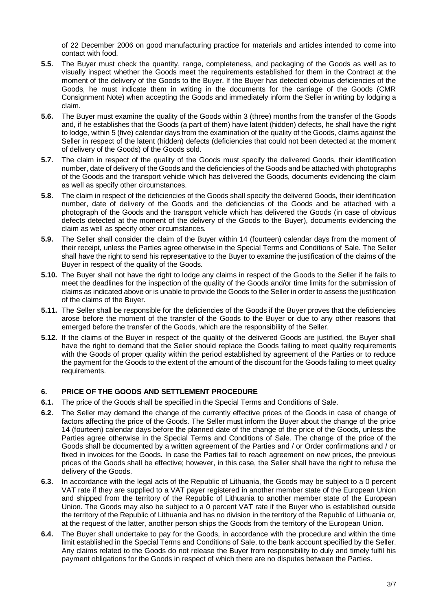of 22 December 2006 on good manufacturing practice for materials and articles intended to come into contact with food.

- **5.5.** The Buyer must check the quantity, range, completeness, and packaging of the Goods as well as to visually inspect whether the Goods meet the requirements established for them in the Contract at the moment of the delivery of the Goods to the Buyer. If the Buyer has detected obvious deficiencies of the Goods, he must indicate them in writing in the documents for the carriage of the Goods (CMR Consignment Note) when accepting the Goods and immediately inform the Seller in writing by lodging a claim.
- **5.6.** The Buyer must examine the quality of the Goods within 3 (three) months from the transfer of the Goods and, if he establishes that the Goods (a part of them) have latent (hidden) defects, he shall have the right to lodge, within 5 (five) calendar days from the examination of the quality of the Goods, claims against the Seller in respect of the latent (hidden) defects (deficiencies that could not been detected at the moment of delivery of the Goods) of the Goods sold.
- **5.7.** The claim in respect of the quality of the Goods must specify the delivered Goods, their identification number, date of delivery of the Goods and the deficiencies of the Goods and be attached with photographs of the Goods and the transport vehicle which has delivered the Goods, documents evidencing the claim as well as specify other circumstances.
- **5.8.** The claim in respect of the deficiencies of the Goods shall specify the delivered Goods, their identification number, date of delivery of the Goods and the deficiencies of the Goods and be attached with a photograph of the Goods and the transport vehicle which has delivered the Goods (in case of obvious defects detected at the moment of the delivery of the Goods to the Buyer), documents evidencing the claim as well as specify other circumstances.
- **5.9.** The Seller shall consider the claim of the Buyer within 14 (fourteen) calendar days from the moment of their receipt, unless the Parties agree otherwise in the Special Terms and Conditions of Sale. The Seller shall have the right to send his representative to the Buyer to examine the justification of the claims of the Buyer in respect of the quality of the Goods.
- **5.10.** The Buyer shall not have the right to lodge any claims in respect of the Goods to the Seller if he fails to meet the deadlines for the inspection of the quality of the Goods and/or time limits for the submission of claims as indicated above or is unable to provide the Goods to the Seller in order to assess the justification of the claims of the Buyer.
- **5.11.** The Seller shall be responsible for the deficiencies of the Goods if the Buyer proves that the deficiencies arose before the moment of the transfer of the Goods to the Buyer or due to any other reasons that emerged before the transfer of the Goods, which are the responsibility of the Seller.
- **5.12.** If the claims of the Buyer in respect of the quality of the delivered Goods are justified, the Buyer shall have the right to demand that the Seller should replace the Goods failing to meet quality requirements with the Goods of proper quality within the period established by agreement of the Parties or to reduce the payment for the Goods to the extent of the amount of the discount for the Goods failing to meet quality requirements.

# **6. PRICE OF THE GOODS AND SETTLEMENT PROCEDURE**

- **6.1.** The price of the Goods shall be specified in the Special Terms and Conditions of Sale.
- **6.2.** The Seller may demand the change of the currently effective prices of the Goods in case of change of factors affecting the price of the Goods. The Seller must inform the Buyer about the change of the price 14 (fourteen) calendar days before the planned date of the change of the price of the Goods, unless the Parties agree otherwise in the Special Terms and Conditions of Sale. The change of the price of the Goods shall be documented by a written agreement of the Parties and / or Order confirmations and / or fixed in invoices for the Goods. In case the Parties fail to reach agreement on new prices, the previous prices of the Goods shall be effective; however, in this case, the Seller shall have the right to refuse the delivery of the Goods.
- **6.3.** In accordance with the legal acts of the Republic of Lithuania, the Goods may be subject to a 0 percent VAT rate if they are supplied to a VAT payer registered in another member state of the European Union and shipped from the territory of the Republic of Lithuania to another member state of the European Union. The Goods may also be subject to a 0 percent VAT rate if the Buyer who is established outside the territory of the Republic of Lithuania and has no division in the territory of the Republic of Lithuania or, at the request of the latter, another person ships the Goods from the territory of the European Union.
- **6.4.** The Buyer shall undertake to pay for the Goods, in accordance with the procedure and within the time limit established in the Special Terms and Conditions of Sale, to the bank account specified by the Seller. Any claims related to the Goods do not release the Buyer from responsibility to duly and timely fulfil his payment obligations for the Goods in respect of which there are no disputes between the Parties.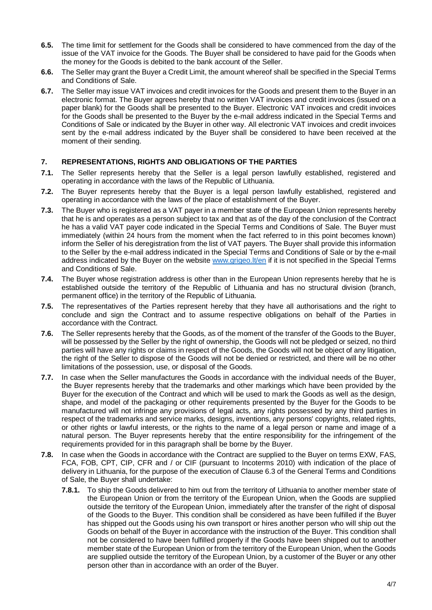- **6.5.** The time limit for settlement for the Goods shall be considered to have commenced from the day of the issue of the VAT invoice for the Goods. The Buyer shall be considered to have paid for the Goods when the money for the Goods is debited to the bank account of the Seller.
- **6.6.** The Seller may grant the Buyer a Credit Limit, the amount whereof shall be specified in the Special Terms and Conditions of Sale.
- **6.7.** The Seller may issue VAT invoices and credit invoices for the Goods and present them to the Buyer in an electronic format. The Buyer agrees hereby that no written VAT invoices and credit invoices (issued on a paper blank) for the Goods shall be presented to the Buyer. Electronic VAT invoices and credit invoices for the Goods shall be presented to the Buyer by the e-mail address indicated in the Special Terms and Conditions of Sale or indicated by the Buyer in other way. All electronic VAT invoices and credit invoices sent by the e-mail address indicated by the Buyer shall be considered to have been received at the moment of their sending.

## **7. REPRESENTATIONS, RIGHTS AND OBLIGATIONS OF THE PARTIES**

- **7.1.** The Seller represents hereby that the Seller is a legal person lawfully established, registered and operating in accordance with the laws of the Republic of Lithuania.
- **7.2.** The Buyer represents hereby that the Buyer is a legal person lawfully established, registered and operating in accordance with the laws of the place of establishment of the Buyer.
- **7.3.** The Buyer who is registered as a VAT payer in a member state of the European Union represents hereby that he is and operates as a person subject to tax and that as of the day of the conclusion of the Contract he has a valid VAT payer code indicated in the Special Terms and Conditions of Sale. The Buyer must immediately (within 24 hours from the moment when the fact referred to in this point becomes known) inform the Seller of his deregistration from the list of VAT payers. The Buyer shall provide this information to the Seller by the e-mail address indicated in the Special Terms and Conditions of Sale or by the e-mail address indicated by the Buyer on the website [www.grigeo.lt/en](http://www.grigeo.lt/en) if it is not specified in the Special Terms and Conditions of Sale.
- **7.4.** The Buyer whose registration address is other than in the European Union represents hereby that he is established outside the territory of the Republic of Lithuania and has no structural division (branch, permanent office) in the territory of the Republic of Lithuania.
- **7.5.** The representatives of the Parties represent hereby that they have all authorisations and the right to conclude and sign the Contract and to assume respective obligations on behalf of the Parties in accordance with the Contract.
- **7.6.** The Seller represents hereby that the Goods, as of the moment of the transfer of the Goods to the Buyer, will be possessed by the Seller by the right of ownership, the Goods will not be pledged or seized, no third parties will have any rights or claims in respect of the Goods, the Goods will not be object of any litigation, the right of the Seller to dispose of the Goods will not be denied or restricted, and there will be no other limitations of the possession, use, or disposal of the Goods.
- **7.7.** In case when the Seller manufactures the Goods in accordance with the individual needs of the Buyer, the Buyer represents hereby that the trademarks and other markings which have been provided by the Buyer for the execution of the Contract and which will be used to mark the Goods as well as the design, shape, and model of the packaging or other requirements presented by the Buyer for the Goods to be manufactured will not infringe any provisions of legal acts, any rights possessed by any third parties in respect of the trademarks and service marks, designs, inventions, any persons' copyrights, related rights, or other rights or lawful interests, or the rights to the name of a legal person or name and image of a natural person. The Buyer represents hereby that the entire responsibility for the infringement of the requirements provided for in this paragraph shall be borne by the Buyer.
- **7.8.** In case when the Goods in accordance with the Contract are supplied to the Buyer on terms EXW, FAS, FCA, FOB, CPT, CIP, CFR and / or CIF (pursuant to Incoterms 2010) with indication of the place of delivery in Lithuania, for the purpose of the execution of Clause 6.3 of the General Terms and Conditions of Sale, the Buyer shall undertake:
	- **7.8.1.** To ship the Goods delivered to him out from the territory of Lithuania to another member state of the European Union or from the territory of the European Union, when the Goods are supplied outside the territory of the European Union, immediately after the transfer of the right of disposal of the Goods to the Buyer. This condition shall be considered as have been fulfilled if the Buyer has shipped out the Goods using his own transport or hires another person who will ship out the Goods on behalf of the Buyer in accordance with the instruction of the Buyer. This condition shall not be considered to have been fulfilled properly if the Goods have been shipped out to another member state of the European Union or from the territory of the European Union, when the Goods are supplied outside the territory of the European Union, by a customer of the Buyer or any other person other than in accordance with an order of the Buyer.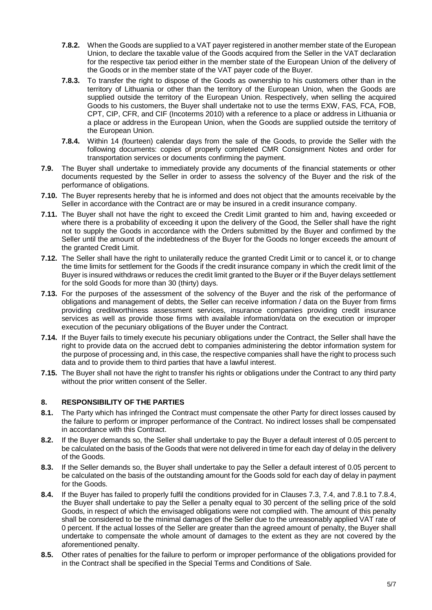- **7.8.2.** When the Goods are supplied to a VAT payer registered in another member state of the European Union, to declare the taxable value of the Goods acquired from the Seller in the VAT declaration for the respective tax period either in the member state of the European Union of the delivery of the Goods or in the member state of the VAT payer code of the Buyer.
- **7.8.3.** To transfer the right to dispose of the Goods as ownership to his customers other than in the territory of Lithuania or other than the territory of the European Union, when the Goods are supplied outside the territory of the European Union. Respectively, when selling the acquired Goods to his customers, the Buyer shall undertake not to use the terms EXW, FAS, FCA, FOB, CPT, CIP, CFR, and CIF (Incoterms 2010) with a reference to a place or address in Lithuania or a place or address in the European Union, when the Goods are supplied outside the territory of the European Union.
- **7.8.4.** Within 14 (fourteen) calendar days from the sale of the Goods, to provide the Seller with the following documents: copies of properly completed CMR Consignment Notes and order for transportation services or documents confirming the payment.
- **7.9.** The Buyer shall undertake to immediately provide any documents of the financial statements or other documents requested by the Seller in order to assess the solvency of the Buyer and the risk of the performance of obligations.
- **7.10.** The Buyer represents hereby that he is informed and does not object that the amounts receivable by the Seller in accordance with the Contract are or may be insured in a credit insurance company.
- **7.11.** The Buyer shall not have the right to exceed the Credit Limit granted to him and, having exceeded or where there is a probability of exceeding it upon the delivery of the Good, the Seller shall have the right not to supply the Goods in accordance with the Orders submitted by the Buyer and confirmed by the Seller until the amount of the indebtedness of the Buyer for the Goods no longer exceeds the amount of the granted Credit Limit.
- **7.12.** The Seller shall have the right to unilaterally reduce the granted Credit Limit or to cancel it, or to change the time limits for settlement for the Goods if the credit insurance company in which the credit limit of the Buyer is insured withdraws or reduces the credit limit granted to the Buyer or if the Buyer delays settlement for the sold Goods for more than 30 (thirty) days.
- **7.13.** For the purposes of the assessment of the solvency of the Buyer and the risk of the performance of obligations and management of debts, the Seller can receive information / data on the Buyer from firms providing creditworthiness assessment services, insurance companies providing credit insurance services as well as provide those firms with available information/data on the execution or improper execution of the pecuniary obligations of the Buyer under the Contract.
- **7.14.** If the Buyer fails to timely execute his pecuniary obligations under the Contract, the Seller shall have the right to provide data on the accrued debt to companies administering the debtor information system for the purpose of processing and, in this case, the respective companies shall have the right to process such data and to provide them to third parties that have a lawful interest.
- **7.15.** The Buyer shall not have the right to transfer his rights or obligations under the Contract to any third party without the prior written consent of the Seller.

# **8. RESPONSIBILITY OF THE PARTIES**

- **8.1.** The Party which has infringed the Contract must compensate the other Party for direct losses caused by the failure to perform or improper performance of the Contract. No indirect losses shall be compensated in accordance with this Contract.
- **8.2.** If the Buyer demands so, the Seller shall undertake to pay the Buyer a default interest of 0.05 percent to be calculated on the basis of the Goods that were not delivered in time for each day of delay in the delivery of the Goods.
- **8.3.** If the Seller demands so, the Buyer shall undertake to pay the Seller a default interest of 0.05 percent to be calculated on the basis of the outstanding amount for the Goods sold for each day of delay in payment for the Goods.
- **8.4.** If the Buyer has failed to properly fulfil the conditions provided for in Clauses 7.3, 7.4, and 7.8.1 to 7.8.4, the Buyer shall undertake to pay the Seller a penalty equal to 30 percent of the selling price of the sold Goods, in respect of which the envisaged obligations were not complied with. The amount of this penalty shall be considered to be the minimal damages of the Seller due to the unreasonably applied VAT rate of 0 percent. If the actual losses of the Seller are greater than the agreed amount of penalty, the Buyer shall undertake to compensate the whole amount of damages to the extent as they are not covered by the aforementioned penalty.
- **8.5.** Other rates of penalties for the failure to perform or improper performance of the obligations provided for in the Contract shall be specified in the Special Terms and Conditions of Sale.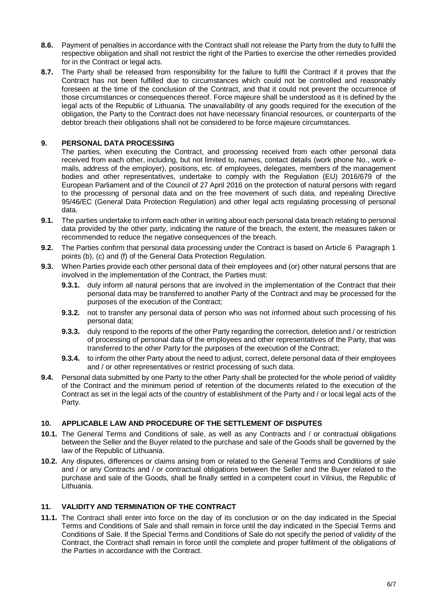- **8.6.** Payment of penalties in accordance with the Contract shall not release the Party from the duty to fulfil the respective obligation and shall not restrict the right of the Parties to exercise the other remedies provided for in the Contract or legal acts.
- **8.7.** The Party shall be released from responsibility for the failure to fulfil the Contract if it proves that the Contract has not been fulfilled due to circumstances which could not be controlled and reasonably foreseen at the time of the conclusion of the Contract, and that it could not prevent the occurrence of those circumstances or consequences thereof. Force majeure shall be understood as it is defined by the legal acts of the Republic of Lithuania. The unavailability of any goods required for the execution of the obligation, the Party to the Contract does not have necessary financial resources, or counterparts of the debtor breach their obligations shall not be considered to be force majeure circumstances.

## **9. PERSONAL DATA PROCESSING**

The parties, when executing the Contract, and processing received from each other personal data received from each other, including, but not limited to, names, contact details (work phone No., work emails, address of the employer), positions, etc. of employees, delegates, members of the management bodies and other representatives, undertake to comply with the Regulation (EU) 2016/679 of the European Parliament and of the Council of 27 April 2016 on the protection of natural persons with regard to the processing of personal data and on the free movement of such data, and repealing Directive 95/46/EC (General Data Protection Regulation) and other legal acts regulating processing of personal data.

- **9.1.** The parties undertake to inform each other in writing about each personal data breach relating to personal data provided by the other party, indicating the nature of the breach, the extent, the measures taken or recommended to reduce the negative consequences of the breach.
- **9.2.** The Parties confirm that personal data processing under the Contract is based on Article 6 Paragraph 1 points (b), (c) and (f) of the General Data Protection Regulation.
- **9.3.** When Parties provide each other personal data of their employees and (or) other natural persons that are involved in the implementation of the Contract, the Parties must:
	- **9.3.1.** duly inform all natural persons that are involved in the implementation of the Contract that their personal data may be transferred to another Party of the Contract and may be processed for the purposes of the execution of the Contract;
	- **9.3.2.** not to transfer any personal data of person who was not informed about such processing of his personal data;
	- **9.3.3.** duly respond to the reports of the other Party regarding the correction, deletion and / or restriction of processing of personal data of the employees and other representatives of the Party, that was transferred to the other Party for the purposes of the execution of the Contract;
	- **9.3.4.** to inform the other Party about the need to adjust, correct, delete personal data of their employees and / or other representatives or restrict processing of such data.
- **9.4.** Personal data submitted by one Party to the other Party shall be protected for the whole period of validity of the Contract and the minimum period of retention of the documents related to the execution of the Contract as set in the legal acts of the country of establishment of the Party and / or local legal acts of the Party.

### **10. APPLICABLE LAW AND PROCEDURE OF THE SETTLEMENT OF DISPUTES**

- **10.1.** The General Terms and Conditions of sale, as well as any Contracts and / or contractual obligations between the Seller and the Buyer related to the purchase and sale of the Goods shall be governed by the law of the Republic of Lithuania.
- **10.2.** Any disputes, differences or claims arising from or related to the General Terms and Conditions of sale and / or any Contracts and / or contractual obligations between the Seller and the Buyer related to the purchase and sale of the Goods, shall be finally settled in a competent court in Vilnius, the Republic of Lithuania.

# **11. VALIDITY AND TERMINATION OF THE CONTRACT**

**11.1.** The Contract shall enter into force on the day of its conclusion or on the day indicated in the Special Terms and Conditions of Sale and shall remain in force until the day indicated in the Special Terms and Conditions of Sale. If the Special Terms and Conditions of Sale do not specify the period of validity of the Contract, the Contract shall remain in force until the complete and proper fulfilment of the obligations of the Parties in accordance with the Contract.